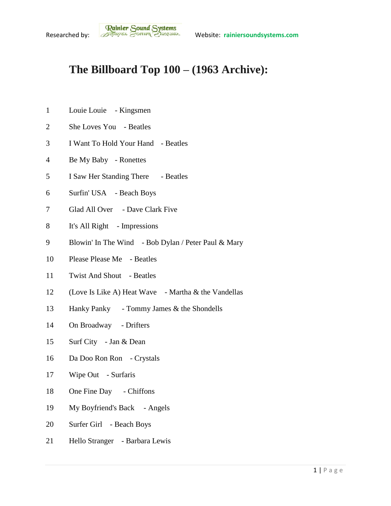## **The Billboard Top 100 – (1963 Archive):**

- Louie Louie Kingsmen
- She Loves You Beatles
- I Want To Hold Your Hand Beatles
- Be My Baby Ronettes
- I Saw Her Standing There Beatles
- Surfin' USA Beach Boys
- Glad All Over Dave Clark Five
- It's All Right Impressions
- Blowin' In The Wind Bob Dylan / Peter Paul & Mary
- Please Please Me Beatles
- Twist And Shout Beatles
- (Love Is Like A) Heat Wave Martha & the Vandellas
- Hanky Panky Tommy James & the Shondells
- On Broadway Drifters
- Surf City Jan & Dean
- Da Doo Ron Ron Crystals
- 17 Wipe Out Surfaris
- One Fine Day Chiffons
- My Boyfriend's Back Angels
- Surfer Girl Beach Boys
- Hello Stranger Barbara Lewis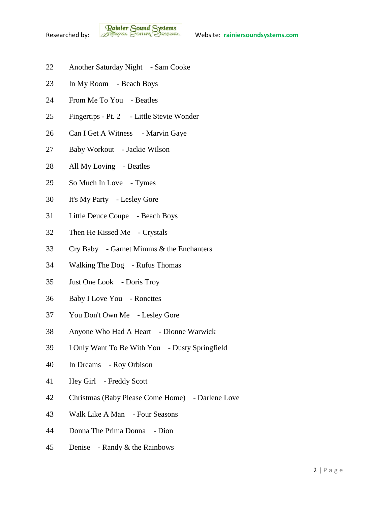**Rainier Sound Systems**<br>Researched by: *Bothuges* Conner Charantee Website: rainiersoundsystems.com

- Another Saturday Night Sam Cooke
- In My Room Beach Boys
- From Me To You Beatles
- Fingertips Pt. 2 Little Stevie Wonder
- 26 Can I Get A Witness Marvin Gaye
- Baby Workout Jackie Wilson
- All My Loving Beatles
- So Much In Love Tymes
- It's My Party Lesley Gore
- Little Deuce Coupe Beach Boys
- Then He Kissed Me Crystals
- Cry Baby Garnet Mimms & the Enchanters
- Walking The Dog Rufus Thomas
- Just One Look Doris Troy
- Baby I Love You Ronettes
- You Don't Own Me Lesley Gore
- Anyone Who Had A Heart Dionne Warwick
- I Only Want To Be With You Dusty Springfield
- In Dreams Roy Orbison
- Hey Girl Freddy Scott
- Christmas (Baby Please Come Home) Darlene Love
- Walk Like A Man Four Seasons
- Donna The Prima Donna Dion
- Denise Randy & the Rainbows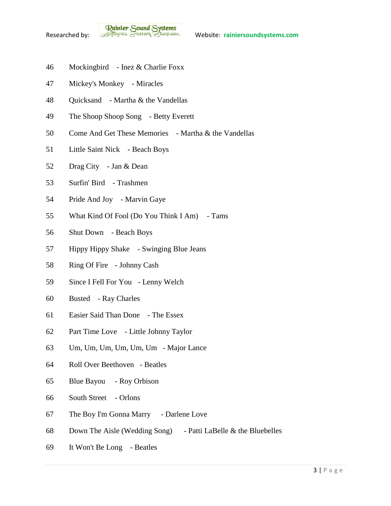

- Mockingbird Inez & Charlie Foxx
- Mickey's Monkey Miracles
- Quicksand Martha & the Vandellas
- The Shoop Shoop Song Betty Everett
- Come And Get These Memories Martha & the Vandellas
- Little Saint Nick Beach Boys
- Drag City Jan & Dean
- Surfin' Bird Trashmen
- Pride And Joy Marvin Gaye
- What Kind Of Fool (Do You Think I Am) Tams
- Shut Down Beach Boys
- Hippy Hippy Shake Swinging Blue Jeans
- Ring Of Fire Johnny Cash
- Since I Fell For You Lenny Welch
- Busted Ray Charles
- Easier Said Than Done The Essex
- Part Time Love Little Johnny Taylor
- Um, Um, Um, Um, Um, Um Major Lance
- Roll Over Beethoven Beatles
- Blue Bayou Roy Orbison
- South Street Orlons
- The Boy I'm Gonna Marry Darlene Love
- Down The Aisle (Wedding Song) Patti LaBelle & the Bluebelles
- It Won't Be Long Beatles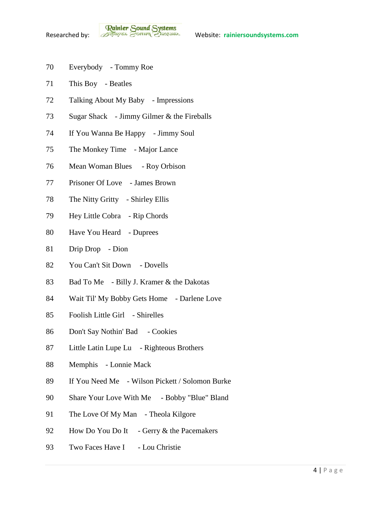- Everybody Tommy Roe
- This Boy Beatles
- Talking About My Baby Impressions
- Sugar Shack Jimmy Gilmer & the Fireballs
- If You Wanna Be Happy Jimmy Soul
- The Monkey Time Major Lance
- Mean Woman Blues Roy Orbison
- Prisoner Of Love James Brown
- The Nitty Gritty Shirley Ellis
- Hey Little Cobra Rip Chords
- Have You Heard Duprees
- Drip Drop Dion
- You Can't Sit Down Dovells
- Bad To Me Billy J. Kramer & the Dakotas
- Wait Til' My Bobby Gets Home Darlene Love
- Foolish Little Girl Shirelles
- Don't Say Nothin' Bad Cookies
- Little Latin Lupe Lu Righteous Brothers
- Memphis Lonnie Mack
- If You Need Me Wilson Pickett / Solomon Burke
- Share Your Love With Me Bobby "Blue" Bland
- 91 The Love Of My Man Theola Kilgore
- 92 How Do You Do It Gerry & the Pacemakers
- 93 Two Faces Have I Lou Christie